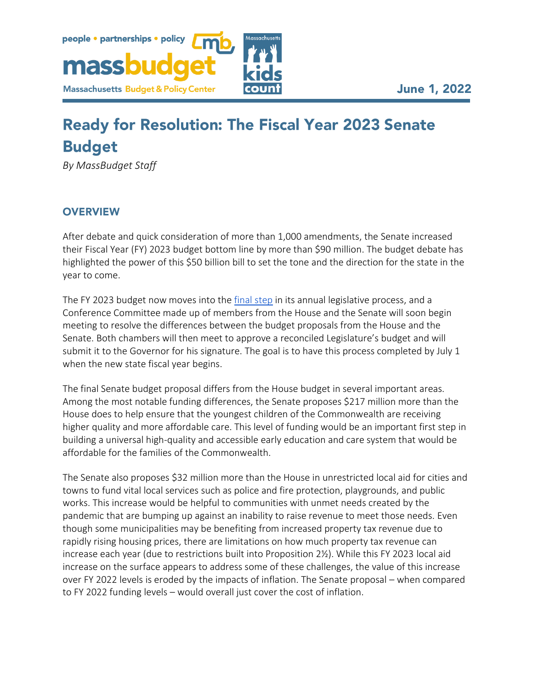

# **Ready for Resolution: The Fiscal Year 2023 Senate Budget**

*By MassBudget Staff*

# **OVERVIEW**

After debate and quick consideration of more than 1,000 amendments, the Senate increased their Fiscal Year (FY) 2023 budget bottom line by more than \$90 million. The budget debate has highlighted the power of this \$50 billion bill to set the tone and the direction for the state in the year to come.

The FY 2023 budget now moves into the [final step](https://massbudget.org/2022/01/25/state-budget-101/) in its annual legislative process, and a Conference Committee made up of members from the House and the Senate will soon begin meeting to resolve the differences between the budget proposals from the House and the Senate. Both chambers will then meet to approve a reconciled Legislature's budget and will submit it to the Governor for his signature. The goal is to have this process completed by July 1 when the new state fiscal year begins.

The final Senate budget proposal differs from the House budget in several important areas. Among the most notable funding differences, the Senate proposes \$217 million more than the House does to help ensure that the youngest children of the Commonwealth are receiving higher quality and more affordable care. This level of funding would be an important first step in building a universal high-quality and accessible early education and care system that would be affordable for the families of the Commonwealth.

The Senate also proposes \$32 million more than the House in unrestricted local aid for cities and towns to fund vital local services such as police and fire protection, playgrounds, and public works. This increase would be helpful to communities with unmet needs created by the pandemic that are bumping up against an inability to raise revenue to meet those needs. Even though some municipalities may be benefiting from increased property tax revenue due to rapidly rising housing prices, there are limitations on how much property tax revenue can increase each year (due to restrictions built into Proposition 2½). While this FY 2023 local aid increase on the surface appears to address some of these challenges, the value of this increase over FY 2022 levels is eroded by the impacts of inflation. The Senate proposal – when compared to FY 2022 funding levels – would overall just cover the cost of inflation.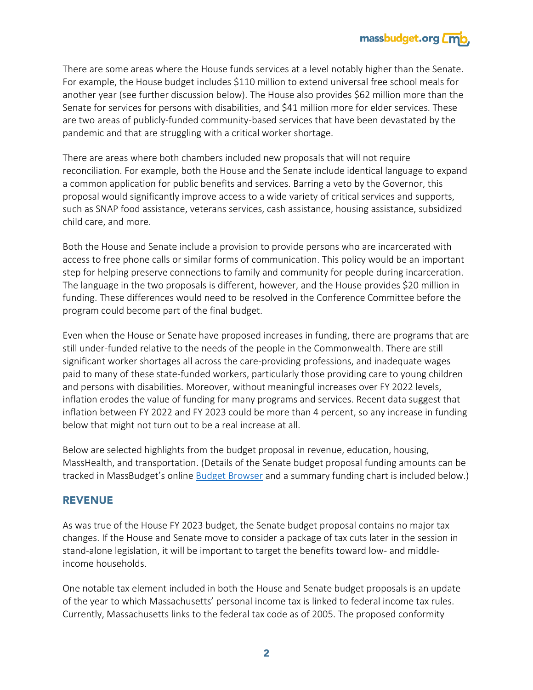

There are some areas where the House funds services at a level notably higher than the Senate. For example, the House budget includes \$110 million to extend universal free school meals for another year (see further discussion below). The House also provides \$62 million more than the Senate for services for persons with disabilities, and \$41 million more for elder services. These are two areas of publicly-funded community-based services that have been devastated by the pandemic and that are struggling with a critical worker shortage.

There are areas where both chambers included new proposals that will not require reconciliation. For example, both the House and the Senate include identical language to expand a common application for public benefits and services. Barring a veto by the Governor, this proposal would significantly improve access to a wide variety of critical services and supports, such as SNAP food assistance, veterans services, cash assistance, housing assistance, subsidized child care, and more.

Both the House and Senate include a provision to provide persons who are incarcerated with access to free phone calls or similar forms of communication. This policy would be an important step for helping preserve connections to family and community for people during incarceration. The language in the two proposals is different, however, and the House provides \$20 million in funding. These differences would need to be resolved in the Conference Committee before the program could become part of the final budget.

Even when the House or Senate have proposed increases in funding, there are programs that are still under-funded relative to the needs of the people in the Commonwealth. There are still significant worker shortages all across the care-providing professions, and inadequate wages paid to many of these state-funded workers, particularly those providing care to young children and persons with disabilities. Moreover, without meaningful increases over FY 2022 levels, inflation erodes the value of funding for many programs and services. Recent data suggest that inflation between FY 2022 and FY 2023 could be more than 4 percent, so any increase in funding below that might not turn out to be a real increase at all.

Below are selected highlights from the budget proposal in revenue, education, housing, MassHealth, and transportation. (Details of the Senate budget proposal funding amounts can be tracked in MassBudget's online [Budget Browser](http://browser.massbudget.org/) and a summary funding chart is included below.)

## **REVENUE**

As was true of the House FY 2023 budget, the Senate budget proposal contains no major tax changes. If the House and Senate move to consider a package of tax cuts later in the session in stand-alone legislation, it will be important to target the benefits toward low- and middleincome households.

One notable tax element included in both the House and Senate budget proposals is an update of the year to which Massachusetts' personal income tax is linked to federal income tax rules. Currently, Massachusetts links to the federal tax code as of 2005. The proposed conformity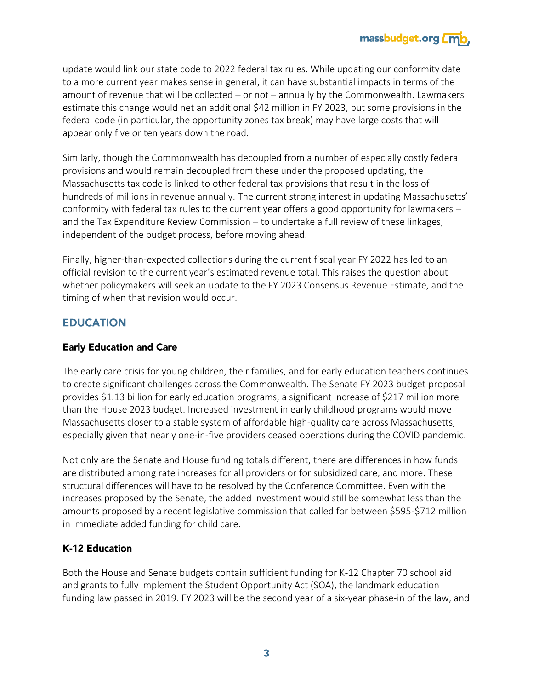

update would link our state code to 2022 federal tax rules. While updating our conformity date to a more current year makes sense in general, it can have substantial impacts in terms of the amount of revenue that will be collected – or not – annually by the Commonwealth. Lawmakers estimate this change would net an additional \$42 million in FY 2023, but some provisions in the federal code (in particular, the opportunity zones tax break) may have large costs that will appear only five or ten years down the road.

Similarly, though the Commonwealth has decoupled from a number of especially costly federal provisions and would remain decoupled from these under the proposed updating, the Massachusetts tax code is linked to other federal tax provisions that result in the loss of hundreds of millions in revenue annually. The current strong interest in updating Massachusetts' conformity with federal tax rules to the current year offers a good opportunity for lawmakers – and the Tax Expenditure Review Commission – to undertake a full review of these linkages, independent of the budget process, before moving ahead.

Finally, higher-than-expected collections during the current fiscal year FY 2022 has led to an official revision to the current year's estimated revenue total. This raises the question about whether policymakers will seek an update to the FY 2023 Consensus Revenue Estimate, and the timing of when that revision would occur.

# **EDUCATION**

## **Early Education and Care**

The early care crisis for young children, their families, and for early education teachers continues to create significant challenges across the Commonwealth. The Senate FY 2023 budget proposal provides \$1.13 billion for early education programs, a significant increase of \$217 million more than the House 2023 budget. Increased investment in early childhood programs would move Massachusetts closer to a stable system of affordable high-quality care across Massachusetts, especially given that nearly one-in-five providers ceased operations during the COVID pandemic.

Not only are the Senate and House funding totals different, there are differences in how funds are distributed among rate increases for all providers or for subsidized care, and more. These structural differences will have to be resolved by the Conference Committee. Even with the increases proposed by the Senate, the added investment would still be somewhat less than the amounts proposed by a recent legislative commission that called for between \$595-\$712 million in immediate added funding for child care.

# K-12 Education

Both the House and Senate budgets contain sufficient funding for K-12 Chapter 70 school aid and grants to fully implement the Student Opportunity Act (SOA), the landmark education funding law passed in 2019. FY 2023 will be the second year of a six-year phase-in of the law, and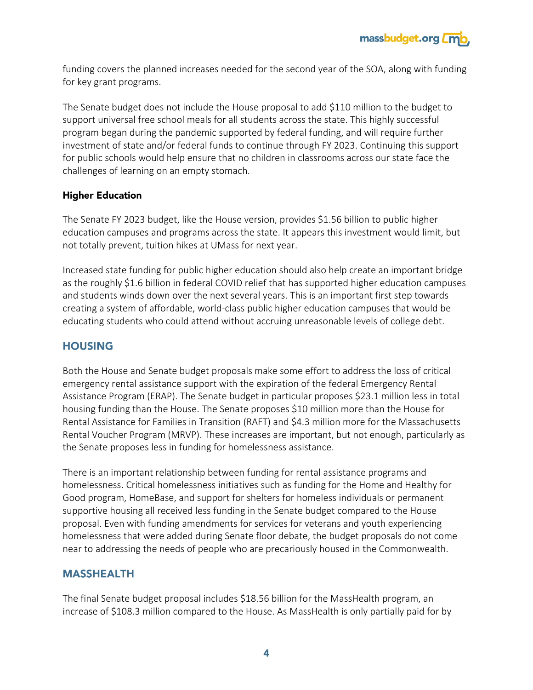

funding covers the planned increases needed for the second year of the SOA, along with funding for key grant programs.

The Senate budget does not include the House proposal to add \$110 million to the budget to support universal free school meals for all students across the state. This highly successful program began during the pandemic supported by federal funding, and will require further investment of state and/or federal funds to continue through FY 2023. Continuing this support for public schools would help ensure that no children in classrooms across our state face the challenges of learning on an empty stomach.

#### **Higher Education**

The Senate FY 2023 budget, like the House version, provides \$1.56 billion to public higher education campuses and programs across the state. It appears this investment would limit, but not totally prevent, tuition hikes at UMass for next year.

Increased state funding for public higher education should also help create an important bridge as the roughly \$1.6 billion in federal COVID relief that has supported higher education campuses and students winds down over the next several years. This is an important first step towards creating a system of affordable, world-class public higher education campuses that would be educating students who could attend without accruing unreasonable levels of college debt.

## **HOUSING**

Both the House and Senate budget proposals make some effort to address the loss of critical emergency rental assistance support with the expiration of the federal Emergency Rental Assistance Program (ERAP). The Senate budget in particular proposes \$23.1 million less in total housing funding than the House. The Senate proposes \$10 million more than the House for Rental Assistance for Families in Transition (RAFT) and \$4.3 million more for the Massachusetts Rental Voucher Program (MRVP). These increases are important, but not enough, particularly as the Senate proposes less in funding for homelessness assistance.

There is an important relationship between funding for rental assistance programs and homelessness. Critical homelessness initiatives such as funding for the Home and Healthy for Good program, HomeBase, and support for shelters for homeless individuals or permanent supportive housing all received less funding in the Senate budget compared to the House proposal. Even with funding amendments for services for veterans and youth experiencing homelessness that were added during Senate floor debate, the budget proposals do not come near to addressing the needs of people who are precariously housed in the Commonwealth.

## **MASSHEALTH**

The final Senate budget proposal includes \$18.56 billion for the MassHealth program, an increase of \$108.3 million compared to the House. As MassHealth is only partially paid for by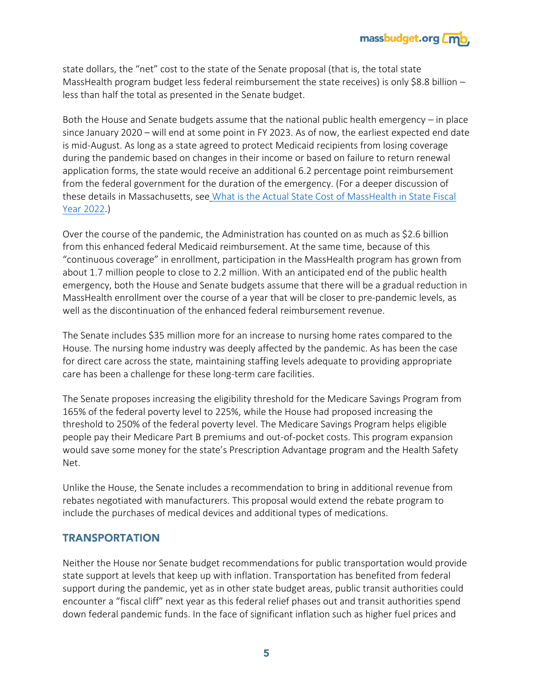

state dollars, the "net" cost to the state of the Senate proposal (that is, the total state MassHealth program budget less federal reimbursement the state receives) is only \$8.8 billion  $$ less than half the total as presented in the Senate budget.

Both the House and Senate budgets assume that the national public health emergency – in place since January 2020 – will end at some point in FY 2023. As of now, the earliest expected end date is mid-August. As long as a state agreed to protect Medicaid recipients from losing coverage during the pandemic based on changes in their income or based on failure to return renewal application forms, the state would receive an additional 6.2 percentage point reimbursement from the federal government for the duration of the emergency. (For a deeper discussion of these details in Massachusetts, see What is the Actual State Cost of MassHealth in State Fiscal [Year 2022.](https://massbudget.org/wp-content/uploads/2021/11/IssueBrief_MassHealth-Cost_SFY2022.pdf))

Over the course of the pandemic, the Administration has counted on as much as \$2.6 billion from this enhanced federal Medicaid reimbursement. At the same time, because of this "continuous coverage" in enrollment, participation in the MassHealth program has grown from about 1.7 million people to close to 2.2 million. With an anticipated end of the public health emergency, both the House and Senate budgets assume that there will be a gradual reduction in MassHealth enrollment over the course of a year that will be closer to pre-pandemic levels, as well as the discontinuation of the enhanced federal reimbursement revenue.

The Senate includes \$35 million more for an increase to nursing home rates compared to the House. The nursing home industry was deeply affected by the pandemic. As has been the case for direct care across the state, maintaining staffing levels adequate to providing appropriate care has been a challenge for these long-term care facilities.

The Senate proposes increasing the eligibility threshold for the Medicare Savings Program from 165% of the federal poverty level to 225%, while the House had proposed increasing the threshold to 250% of the federal poverty level. The Medicare Savings Program helps eligible people pay their Medicare Part B premiums and out-of-pocket costs. This program expansion would save some money for the state's Prescription Advantage program and the Health Safety Net.

Unlike the House, the Senate includes a recommendation to bring in additional revenue from rebates negotiated with manufacturers. This proposal would extend the rebate program to include the purchases of medical devices and additional types of medications.

## **TRANSPORTATION**

Neither the House nor Senate budget recommendations for public transportation would provide state support at levels that keep up with inflation. Transportation has benefited from federal support during the pandemic, yet as in other state budget areas, public transit authorities could encounter a "fiscal cliff" next year as this federal relief phases out and transit authorities spend down federal pandemic funds. In the face of significant inflation such as higher fuel prices and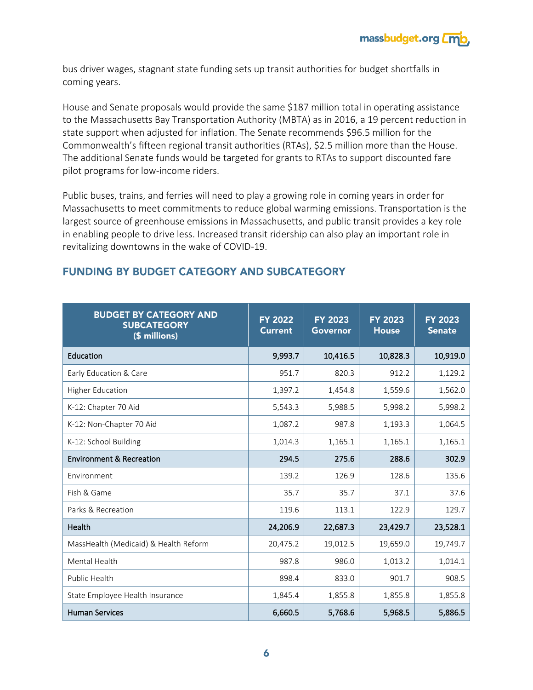

bus driver wages, stagnant state funding sets up transit authorities for budget shortfalls in coming years.

House and Senate proposals would provide the same \$187 million total in operating assistance to the Massachusetts Bay Transportation Authority (MBTA) as in 2016, a 19 percent reduction in state support when adjusted for inflation. The Senate recommends \$96.5 million for the Commonwealth's fifteen regional transit authorities (RTAs), \$2.5 million more than the House. The additional Senate funds would be targeted for grants to RTAs to support discounted fare pilot programs for low-income riders.

Public buses, trains, and ferries will need to play a growing role in coming years in order for Massachusetts to meet commitments to reduce global warming emissions. Transportation is the largest source of greenhouse emissions in Massachusetts, and public transit provides a key role in enabling people to drive less. Increased transit ridership can also play an important role in revitalizing downtowns in the wake of COVID-19.

| <b>BUDGET BY CATEGORY AND</b><br><b>SUBCATEGORY</b><br>(\$ millions) | <b>FY 2022</b><br><b>Current</b> | <b>FY 2023</b><br>Governor | <b>FY 2023</b><br><b>House</b> | <b>FY 2023</b><br><b>Senate</b> |
|----------------------------------------------------------------------|----------------------------------|----------------------------|--------------------------------|---------------------------------|
| Education                                                            | 9,993.7                          | 10,416.5                   | 10,828.3                       | 10,919.0                        |
| Early Education & Care                                               | 951.7                            | 820.3                      | 912.2                          | 1,129.2                         |
| <b>Higher Education</b>                                              | 1,397.2                          | 1,454.8                    | 1,559.6                        | 1,562.0                         |
| K-12: Chapter 70 Aid                                                 | 5,543.3                          | 5,988.5                    | 5,998.2                        | 5,998.2                         |
| K-12: Non-Chapter 70 Aid                                             | 1,087.2                          | 987.8                      | 1,193.3                        | 1,064.5                         |
| K-12: School Building                                                | 1,014.3                          | 1,165.1                    | 1,165.1                        | 1,165.1                         |
| <b>Environment &amp; Recreation</b>                                  | 294.5                            | 275.6                      | 288.6                          | 302.9                           |
| Environment                                                          | 139.2                            | 126.9                      | 128.6                          | 135.6                           |
| Fish & Game                                                          | 35.7                             | 35.7                       | 37.1                           | 37.6                            |
| Parks & Recreation                                                   | 119.6                            | 113.1                      | 122.9                          | 129.7                           |
| Health                                                               | 24,206.9                         | 22,687.3                   | 23,429.7                       | 23,528.1                        |
| MassHealth (Medicaid) & Health Reform                                | 20,475.2                         | 19,012.5                   | 19,659.0                       | 19,749.7                        |
| Mental Health                                                        | 987.8                            | 986.0                      | 1,013.2                        | 1,014.1                         |
| Public Health                                                        | 898.4                            | 833.0                      | 901.7                          | 908.5                           |
| State Employee Health Insurance                                      | 1,845.4                          | 1,855.8                    | 1,855.8                        | 1,855.8                         |
| <b>Human Services</b>                                                | 6,660.5                          | 5,768.6                    | 5,968.5                        | 5,886.5                         |

# **FUNDING BY BUDGET CATEGORY AND SUBCATEGORY**